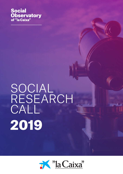**Social Observatory**<br>of "la Caixa"

## SOCIAL RESEARCH CALL 2019

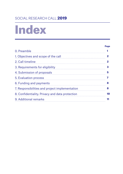## SOCIAL RESEARCH CALL 2019

## Index

#### Page

| 0. Preamble                                                                                                |             |                                                 |    |
|------------------------------------------------------------------------------------------------------------|-------------|-------------------------------------------------|----|
| 1. Objectives and scope of the call                                                                        |             |                                                 |    |
| 2. Call timeline<br>3. Requirements for eligibility<br>4. Submission of proposals<br>5. Evaluation process | 2<br>3<br>5 |                                                 |    |
|                                                                                                            |             | 6. Funding and payments                         | 8  |
|                                                                                                            |             | 7. Responsibilities and project implementation  | 8  |
|                                                                                                            |             | 8. Confidentiality. Privacy and data protection | 10 |
| 9. Additional remarks                                                                                      | 11          |                                                 |    |
|                                                                                                            |             |                                                 |    |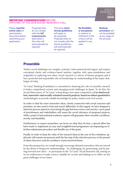#### IMPORTANT CONSIDERATIONS BEFORE APPLYING TO THE 2019 SOCIAL RESEARCH CALL

Please **read the entire rules** for participation document before submitting your application.

Proposals that do not comply with the **full requirements** described in the rules will automatically be rejected.

The same **strict format guidelines** will apply to all proposals. Proposals that do not comply with the format guidelines will automatically be rejected.

**No flexibility or exceptions** in relation to fulfilment of the criteria will be applied in any case.

**Redress procedure** will not be available at any stage of the process.

## Preamble

Today's social challenges are complex, systemic, interconnected and urgent, and require conceptual clarity and evidence-based analysis, together with open-mindedness and originality in exploring new ideas. Social research is a driver of human progress and it has a powerful and responsible role in broadening our understanding of the major challenges of today.

"la Caixa" Banking Foundation is committed to fostering the role of scientific research to better comprehend current and emerging social challenges in Spain. To do this, the Social Observatory of "la Caixa" is launching a new open competitive call **to fund excellent, innovative and socially-oriented research projects, based on robust quantitative**  methodologies to provide reliable knowledge for policy-makers and civil society.

In order to find the most innovative ideas, closely connected with social concerns and priorities, we also need to look and search differently. In this regard, we have designed a selection process aimed at overcoming the gap between science and society: a new panel of practitioners and stakeholders will assess the social relevance of proposed projects, while a panel of international academic experts will guarantee their scientific excellence, novelty and feasibility.

Furthermore, to ensure researchers can focus on what they do best, a special effort has been made to implement an easy and straightforward programme encompassing an effortless submission procedure and flexible use of the grant.

Finally, in order to keep the value of the research ideas at the core of the evaluation, applicants will remain anonymous until the last step of the selection process, in the pursuit of talent discovery and the avoidance of preconceived biases.

From this perspective, we would strongly encourage talented researchers who are moved by the desire to bring new understanding – by challenging, by questioning, and by putting forward new ideas – to participate in the "la Caixa" Social Research call, joining us in our endeavours to make science valuable for society and helping us to reflect on the great challenges of our times.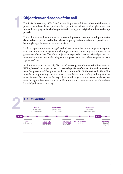## Objectives and scope of the call

1

The Social Observatory of "la Caixa" is launching a new call for **excellent social research** projects that rely on data to provide robust quantifiable evidence and insights about current and emerging **social challenges in Spain** through an **original and innovative approach**.

This call is intended to promote social research projects based on sound **quantitative data analysis** to produce **reliable evidence** for policy decision-makers and practitioners, building bridges between science and society.

To do so, applicants are encouraged to think outside the box in the project conception, execution and data management, including exploitation of existing data sources or the generation of new data. Therefore, projects are expected to have an original perspective, use novel concepts, new methodologies and approaches and/or to be disruptive in management of data.

In this first edition of the call, **"la Caixa" Banking Foundation will allocate up to EUR 1,300,000** to support **13 social research projects of up to 24 months duration**. Awarded projects will be granted with a maximum of **EUR 100,000 each**. The call is intended to support high quality research that delivers outstanding and high-impact scientific contributions. In this regard, awarded projects are expected to deliver results through at least one scientific publication, a short dissemination article and one knowledge-brokering activity.

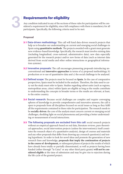## Requirements for eligibility

Any condition indicated in any of the sections of these rules for participation will be considered a requirement for eligibility, since full compliance with them is mandatory for all participants. Specifically, the following criteria need to be met:

#### Proposal

- **3.1 Data-driven methodology:** This call will fund data-driven research projects that help us to broaden our understanding on current and emerging social challenges in Spain using **quantitative methods**. The projects awarded with a grant must generate new evidence-based knowledge. Specifically, the research must involve existing data (including longitudinal, cross-national, administrative data); new data especially generated for the research project and/or new forms of data (such as internet data derived from social media and other online interactions or geographical information systems).
- **3.2 Innovative proposals:** The call encourages pioneering proposals introducing unconventional and **innovative approaches** in terms of a) proposed methodology, b) production or re-use of quantitative data and c) the social challenge to be analysed.
- 3.3 Defined scope: The projects must be focused on **Spain**. In the case of comparative perspectives, Spain must be included in the analysis. Therefore, the data used to carry out the study must refer to Spain. Studies regarding subset units (such as regions, metropolitan areas, cities) within Spain are eligible as long as the results contribute to understanding the concepts in broader terms or the results are relevant, at least, to the entire country.
- **3.4 Social research:** Because social challenges are complex and require converging spheres of knowledge to provide comprehensive and innovative answers, the call is open to proposals from all disciplines focused on social issues as long as they fulfil all the requirements contained in these rules for participation. The research needs to be **socially-driven**: the core of the analysis must concern current or emerging social challenges, shedding light on social phenomena and providing a better understanding or measurement of social interactions.
- **3.5** The following proposals are excluded from this call: social research projects without an empirical approach based on real data, literature reviews, pure theoretical approaches, social intervention projects (unless the intervention(s) itself constitutes the research object of a quantitative analysis), design of courses and materials and any other proposals that differ from drawing up a research question(s) and testing hypothesis. In order to look for novel ideas and promote the generation of new research lines and knowledge, **proposals that imply the continuation of projects in the course of development,** or subsequent phases of projects the results of which have already been totally or partially disseminated, as well as projects having been funded (either through "la Caixa" or any other third-party grants) **will not be considered eligible** at the time of submission and may be give rise to rejection during the life cycle of the granted project.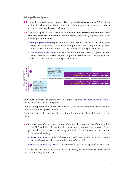#### Principal investigator

- 3.6 The call is aimed to support proposals led by **individual researchers** ("**PIs**") of any nationality who conduct their research activity at a public or private university or research centre legally based in Spain.
- 3.7 The call is open to researchers who can demonstrate **research independence and evidence of prior achievements**. For this reason, applicants (PIs) need to meet the following requirements:
	- » Emerging researchers: applicants whose PhD was awarded between 7 and 2 years before the call deadline (i.e. between 13th June 2017 and 13th June 2012) are required to have published at least 3 scientific articles in the preceding 5 years.
	- » Consolidated researchers: applicants whose PhD was awarded 7 years or more before the call deadline (i.e. before 13th June 2012) are required to have published at least 5 scientific articles in the preceding 5 years.



Only journals indexed in Scopus or Web of Science and [journals recognized by FECYT](https://calidadrevistas.fecyt.es/sites/default/files/informes/2016listadosellofecyt.pdf) will be considered for this purpose.

Should an applicant hold more than one PhD, the above-mentioned period will be counted from the degree awarded first.

Applicants whose PhD was awarded less than 2 years before the call deadline are not eligible.

- **3.8** In those cases of interruption of research activity between the date of the awarding of the PhD and the call deadline, the applicant may request an extension of such periods. To these effects, the following causes will be considered as an interruption of the research activity:
	- » Illness or accident that had led to sick leave of three months or more. An extension may be requested for the number of justified months.
	- » Maternity or paternity leave. An extension of 1 year can be requested for each child.

*The request must be duly justified by means of supporting documentation when required by "la Caixa" Banking Foundation.*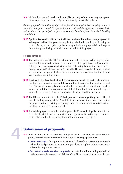3.9 Within the same call, **each applicant (PI) can only submit one single proposal**. Likewise, each proposal can only be submitted by one single applicant.

*Similar proposals submitted by different applicants and applicants attempting to submit more than one proposal will be rejected from this call and the applicants concerned will not be allowed to participate in future calls and fellowships from "la Caixa" Banking Foundation.*

3.10 **Applicants awarded with a grant will not be allowed to submit new proposals in subsequent calls of the grant** during the time the funded project is still being executed. By way of exemption, applicants may submit new proposals in subsequent calls of the grant during the final year of execution of the project.

#### Host institution

- **3.11** The host institution (the "HI") must be a non-profit research-performing organization: a public or private university or research centre legally based in Spain, which will sign **the grant agreement** with "la Caixa" Banking Foundation, together with the applicant, as PI of the project. As such, the HI needs to certify through explicit commitment, by means of a letter of commitment, its engagement of the PI for at least the duration of the project.
- 3.12 Specifically, the **host institution letter of commitment** will certify the endorsement of the proposed project and the commitment to signing the grant agreement with "la Caixa" Banking Foundation should the project be funded, and must be signed by both the legal representative of the HI and the PI and submitted by the former (see section 4). A specific template will be provided for this purpose.
- 3.13 The HI is required to offer the PI **independence to manage the project**. The HI must be willing to support the PI and the team members, if necessary, throughout the project period, providing an appropriate scientific and administrative environment for the project to be conducted.
- 3.14 Should the project be awarded with a grant, the **PI must be legally linked to the HI,** either by statute, work contract or other type of collaboration by the time the project starts and, at least, during the whole duration of the project.

# 4

## Submission of proposals

- 4.1 In order to optimize the workload of applicants and evaluators, the submission of proposals is structured incrementally through a **two-stage procedure**:
	- » In the first stage, a short proposal together with the HI letter of commitment needs to be submitted prior to the corresponding deadline through an online system available on the programme website.
	- » Successful preselected short proposals are invited to submit a full proposal and to demonstrate the research capabilities of the PI and research team, if applicable.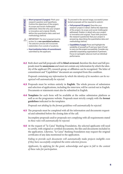FIRST STAGE

» **Short proposal (3 pages):** Pitch your research question and hypothesis. Outline the objectives of the project, its scope and social challenge(s) addressed. Describe why your project is innovative and original. Briefly define the quantitative data used and methodology behind.

*IMPORTANT: The short proposal must be written for a non-specialized audience. The selection process will incorporate stakeholders from outside of academia.*

» **Host institution letter of commitment:** submitted by the applicant.

To proceed to the second stage, successful preselected proposals will be required to submit:

- **SECOND STAGE** » **Full proposal (15 pages):** Describe your research project in detail. Define the objectives of the project, its scope and social challenge(s) addressed. Explain in detail why your project is innovative and original. Trace with precision the research question(s) that your project is answering, describing the quantitative data and methodology behind.
	- » **Capabilities (1 page):** Prove and highlight the suitability of yourself as PI and your team (if any) to carry out the project successfully. Consider any potential cooperating organizations if pertinent. Focus on synergetic value as much as individual performance.
- 4.2 Both short and full proposals will be **blind-reviewed**, therefore the short and full proposals must be **anonymous** and must not contain any information by which the identity of the applicant (PI), research group, or affiliation can be recognized. The letter of commitment and "Capabilities" document are exempted from this condition.

SECOND STAGE

*Proposals containing any information by which the identity of its members can be recognized will automatically be rejected.* 

- 4.3 Proposals must be written entirely in **English.** The whole process of submission and selection of applications, including the interview, will be carried out in English. Documents or statements must also be submitted in English.
- 4.4 **Templates** for each form will be available at the online submission platform as well as on the programme website. Proposals must strictly comply with the **format guidelines** indicated in the templates.

*Proposals not abiding by the format guidelines will automatically be rejected.*

**4.5** The proposals must be completed with all the information and documents requested and submitted before the closing date of the call.

Incomplete proposals and/or proposals not complying with all requirements stated in *these rules will automatically be rejected.*

4.6 At the request of "la Caixa" Banking Foundation, the selected applicants will need to certify, with original or certified documents, the files and documents included in the application. Likewise, "la Caixa" Banking Foundation may request the original certificates of any data mentioned in the application.

*Failing to provide such documents will automatically make projects ineligible even if they have successfully completed the entire selection process.*

*Applicants, by applying for the grant, acknowledge and agree in full to the content of these rules for participation.*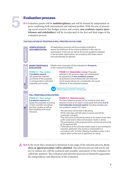ELIGIBILITY

GIBILI

1. PRESELECTION

2. SELECTION PROCESS

## Evaluation process

5.1 Evaluation panels will be **multidisciplinary** and will be formed by independent experts combining both international and national profiles. With the aim of promoting social research that bridges science and society, **non-academic experts (practitioners and stakeholders)** will be incorporated in the first and final stages of the evaluation process.

#### **THE EVALUATION OF PROPOSALS WILL PROCEED AS FOLLOWS:**



All applications received will be accurately screened to ensure the fulfilment of the criteria published in the rules for participation of this call, as well as the format guidelines detailed in the template. Applications not complying with these criteria will automatically be rejected.

> **PHASE 1.2 – Stakeholder-review:** Proposals selected in the previous stage will subsequently be assessed by **5 non-academic experts**, (practitioners and professionals who deal with social issues) taking into consideration the social



Applicants of preselected proposals will be called to submit a full proposal.

relevance of the proposed projects.

### **FULL PROPOSALS EVALUATION**

**PHASE 2.1 – Peer-review: 5 academic experts** will assess the proposals according to their scientific soundness and their novelty as well as their feasibility and social relevance.

#### **PHASE 2.2 – Selection panel:**

The best-ranked proposals will be invited to pitch their projects in front of an expert mixed panel formed by **9 to 12 internationally renowned experts** including scholars and non-academic experts (2:1 ratio).

- *· The interviews will be held in Barcelona.*
- *· All the interviews will take place in person and will be conducted in English.*
- *· They will not be conducted by phone or by means of any other*
- *audio-visual and/or telecommunication media or device.*
- *· The presentation of the proposal will be carried out exclusively by the applicant (PI).*
- *· If attendance at the interview entails travel or accommodation expenses, applicants may receive a compensation in accordance with "la Caixa" Banking Foundation policy in this regard, which will be sent to applicants for clarity.*
- 5.2 In the event that a proposal is dismissed at any stage of the selection process**, no redress or appeal procedure will be admitted**. The selection process will not be subject to redress nor will the technical and scientific assessment of the evaluators be called into question. The evaluation and selection processes in themselves guarantee the independence and objectivity of the evaluation.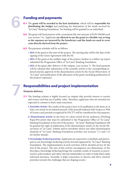7

### Funding and payments

- 6.1 The **grant will be awarded to the host institution**, which will be **responsible for distributing the budget** and justifying the destination of the funds received by "la Caixa" Banking Foundation. No funding will be granted to an individual.
- **6.2** The grant will fund projects with a maximum flat-rate amount of EUR 100,000 each (see section 7.4). Applicants **are allowed to use the grant in a flexible way as long as the expenses are incurred by the beneficiary and the funds are used to cover costs directly derived from the project**.
- **6.3** The payment schedule will be as follows:
	- » 50% of the grant at the start of the project. The starting date will be the date of the signing of the Grant Agreement with the HI.
	- » 30% of the grant at the midline stage of the project, further to a follow-up report submitted the Programme Office of "la Caixa" Banking Foundation.
	- » 20% of the grant after delivery of the outputs, (see section [7](#page-9-0)). The final payment will be released after submission of the scientific article to the corresponding indexed journal, approval of the dissemination article by the Social Observatory of "la Caixa" and justification of the allocation of the grant (including justification of the project's expenses).

### <span id="page-9-0"></span>Responsibilities and project implementation

#### Outputs delivery

- <span id="page-9-1"></span>**7.1** The funding scheme is highly focused on outputs that provide returns to society and science and that are of public value. Therefore, applicants who are awarded are expected to commit to three main outcomes:
	- 1. Scientific Article: The results of the project have to be published in the form of, at least, one article in an indexed journal. Only journals indexed with Scopus or Web of Science and journals recognized by FECYT will be considered for this purpose.
	- 2. Dissemination article: In the form of a short article for lay audiences (Working Paper/Pre-print) that must be submitted to the Programme Office of "la Caixa" Banking Foundation at the end of the project. "la Caixa" Banking Foundation will be granted the right of publication of the dissemination article on the Social Observatory of "la Caixa" website and/or newsletter and/or any other dissemination channels of "la Caixa" Banking Foundation activities (see sections 7.11 and 7.12 for further details).
	- 3. Knowledge-brokering activity: Applicants are expected to contribute and participate in one knowledge-brokering activity led and organized by "la Caixa" Banking Foundation. The implementation of such activities will be decided ad-hoc by the end of the project. The aim of this activity encompasses two dimensions: in the first place, knowledge brokering brings the scientific results of research to practitioners, policymakers and other relevant stakeholders in order to help them make informed decisions. Secondly, it helps researchers to discern and drive research priorities towards the challenges that are shaping society.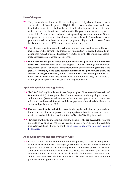#### Use of the grant

- **7.2** The grant can be used in a flexible way, as long as it is fully allocated to cover costs directly derived from the project**. Eligible direct costs** are those costs which are identifiable as specific costs directly linked to the development of the project and which can therefore be attributed to it directly. The grant allows for coverage of the costs of the PI, researchers and other staff (providing that a maximum of 10% of the grant can be used as additional remuneration only for PIs), travel costs, cost of goods and services , subcontracting and equipment. **Eligible indirect costs** (overheads) must not exceed 10% of the total amount of the grant.
- **7.3** The PI must provide a scientific-technical summary and justification of the costs incurred as well as any other additional information that "la Caixa" Banking Foundation may request, if deemed necessary, from the PI or the HI, which shall accordingly authorise each other for this purpose.
- 7.4 **In no case will the grant exceed the total costs of the project actually incurred by the HI.** Therefore, at the end of the project, "la Caixa" Banking Foundation will calculate the balance and issue the payment, if due, of any remaining amount of the grant**. Accordingly, if the costs actually incurred in the project were below the amount of the grant received, the HI will reimburse the amount paid in excess.** If the costs incurred in the project were above the amount of the grant, no increase of budget will be granted by "la Caixa" Banking Foundation.

#### Applicable policies and regulations

- 7.5 "la Caixa" Banking Foundation fosters the principles of **Responsible Research and Innovation (RRI)**. These principles take into account gender equality in research and innovation (R&I), as well as other inclusion issues; open access to scientific results, ethics and research integrity and the engagement of social stakeholders in the design and performance of R&I.
- 7.6 Cases of **scientific misconduct** that may arise during the evaluation of a proposal and throughout execution of the project and the project outputs delivery, must be communicated immediately by the Host Institution to "la Caixa" Banking Foundation.
- 7.7 "la Caixa" Banking Foundation supports the principles of **open access**, following the principle of "as open as possible, as closed as necessary". With regard to scientific publications, HI and PI must follow the [open access policy of the "la Caixa" Banking](https://obrasociallacaixa.org/documents/10280/692563/politica_acceso_abierto_en.pdf/c5801c90-1fff-43d7-a8fb-6b3fa48b6539)  [Foundation.](https://obrasociallacaixa.org/documents/10280/692563/politica_acceso_abierto_en.pdf/c5801c90-1fff-43d7-a8fb-6b3fa48b6539)

#### Acknowledgments and dissemination rules

7.8 In all dissemination and communication of the project, "la Caixa" Banking Foundation will be mentioned as funding organization of the project. This shall be apply, if possible and unless "la Caixa" Banking Foundation requests otherwise, to all dissemination and communication actions, disclosures and activities, as well as to all equipment, infrastructure and main results funded by the grant. Communication and disclosure materials shall be submitted to "la Caixa" Banking Foundation for prior review and approval in writing.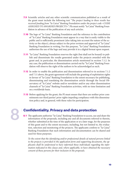- 7.9 Scientific articles and any other scientific communication published as a result of the grant must include the following text "*The project leading to these results has received funding from "la Caixa" Banking Foundation under the project code <CODE ASSIGNED TO AWARDED PROJECTS>*". PIs must notify "la Caixa" Banking Foundation in advance of the publication of any such articles.
- 7.10 The logo of "la Caixa" Banking Foundation and the reference to the contribution of "la Caixa" Banking Foundation must appear in a way that is easily visible to the public and is sufficiently prominent (also taking into account the nature of the activity or the object), always subject to the prior revision and approval of "la Caixa" Banking Foundation in writing. For this purpose, "la Caixa" Banking Foundation authorises the use of the logo and may provide it in a digital format upon request.
- **7.11** "la Caixa" Banking Foundation reserves the right (but shall not be bound) to publish and disseminate the results generated under the projects awarded with the grant and, in particular, the dissemination article mentioned in section [7.1.2.](#page-9-1) In any case, the publication or dissemination carried out by "la Caixa" Banking Foundation will observe the right of the authors to be acknowledged as such.
- **7.12** In order to enable the publication and dissemination referred to in sections [7.1.2](#page-9-1) and 7.11 above, the grant agreement will include the granting of exploitation rights in favour of "la Caixa" Banking Foundation to the extent necessary for publishing, disseminating and translating the dissemination article through the Social Observatory of "la Caixa" website and/or newsletter and/or any other dissemination channels of "la Caixa" Banking Foundation activities, with no time limitation and on a worldwide basis.
- **7.13** Before applying for the grant, the PI must ensure that there are neither prior commitments nor third parties' prior rights impeding compliance with this dissemination policy and, in general, with these rules for participation.

### Confidentiality. Privacy and data protection

8.1 The applicants authorize "la Caixa" Banking Foundation to access, use and share the information of the proposals, including any and all documents referred to therein, whether submitted at the time of the application or at a later stage, for the purposes of this grant and to the extent necessary, including, but not limited to, the evaluation, selection and monitoring of the projects. The applicants confirm to "la Caixa" Banking Foundation that such information and documentation can be shared and used for these purposes.

*To the extent that the identifying and/or professional details of natural persons linked to the projects is provided in the application form and supporting documents, the applicants shall be understood to have informed those individuals regarding the information indicated in this clause and, where applicable, to have obtained the necessary consent of those persons for their inclusion in the proposals.*